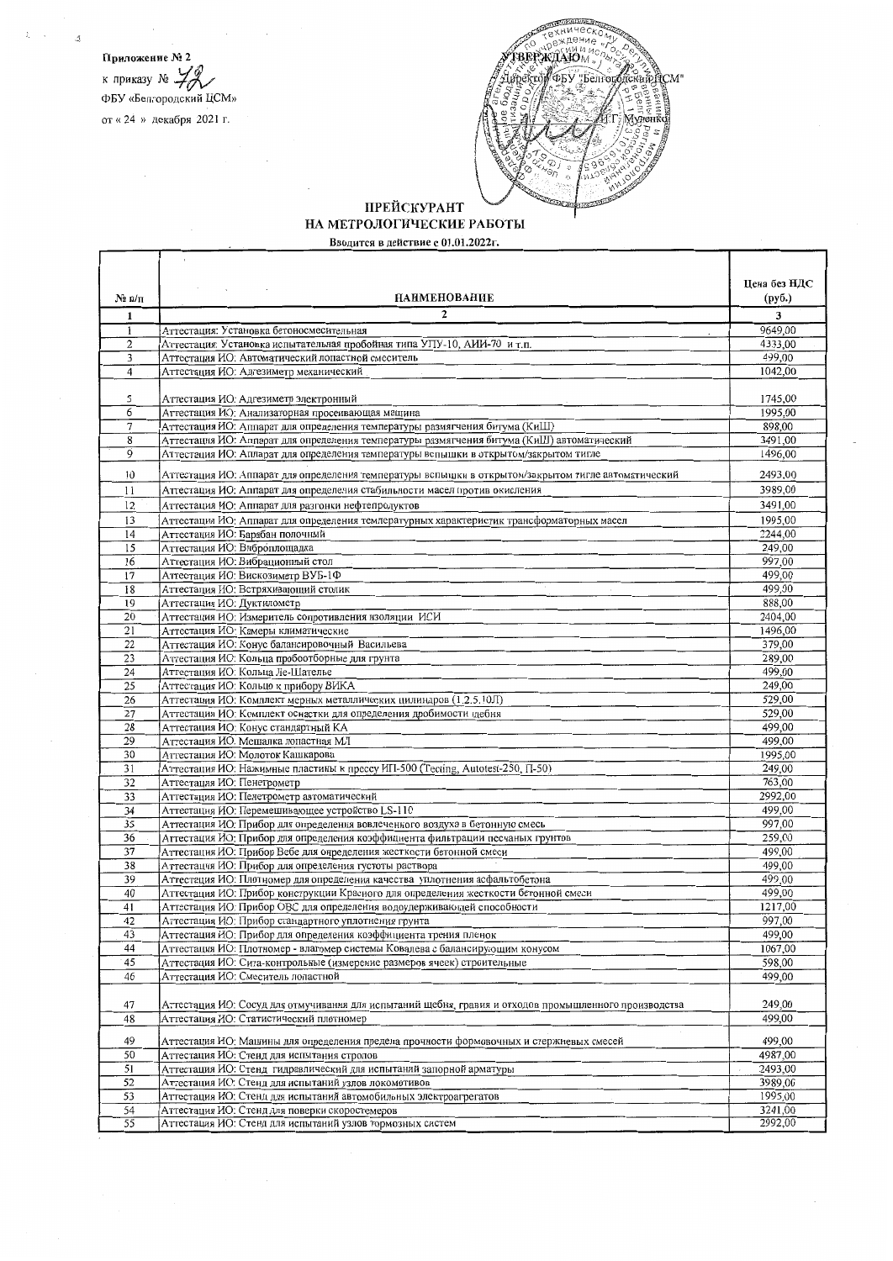Приложение № 2 к приказу №  $\mathcal{H}$ <br>ФБУ «Белгородский ЦСМ» от «24 » декабря 2021 г.



## ПРЕЙСКУРАНТ НА МЕТРОЛОГИЧЕСКИЕ РАБОТЫ

Вводится в действие с 01.01.2022г.

|                 |                                                                                                                                                                           | Цена без НДС       |
|-----------------|---------------------------------------------------------------------------------------------------------------------------------------------------------------------------|--------------------|
| $N_2$ $\pi/\pi$ | <b>НАИМЕНОВАНИЕ</b>                                                                                                                                                       | (руб.)             |
| 1               | $\mathbf{2}$                                                                                                                                                              | 3                  |
| 1               | Аттестация: Установка бетоносмесительная                                                                                                                                  | 9649,00            |
| $\overline{c}$  | Аттестация: Установка испытательная пробойная типа УПУ-10, АИИ-70 и т.п.                                                                                                  | 4333.00            |
| 3               | Аттестация ИО: Автоматический лопастной смеситель                                                                                                                         | 499,00             |
| $\overline{4}$  | Аттестация ИО: Адгезиметр механический                                                                                                                                    | 1042,00            |
|                 |                                                                                                                                                                           |                    |
| 5               | Аттестация ИО: Адгезиметр электронный                                                                                                                                     | 1745,00            |
| 6               | Аттестация ИО: Анализаторная просеивающая машина                                                                                                                          | 1995,00            |
| 7               | Аттестация ИО: Аппарат для определения температуры размягчения битума (КиШ)<br>Аттестация ИО: Аппарат для определения температуры размягчения битума (КиШ) автоматический | 898,00<br>3491,00  |
| 8<br>9          | Аттестация ИО: Аппарат для определения температуры вспышки в открытом/закрытом тигле                                                                                      | 1496,00            |
|                 |                                                                                                                                                                           |                    |
| 10              | Аттестация ИО: Аппарат для определения температуры вспышки в открытом/закрытом тигле автоматический                                                                       | 2493,00            |
| 11              | Аттестация ИО. Аппарат для определения стабильности масел против окисления                                                                                                | 3989,00            |
| 12              | Аттестация ИО: Аппарат для разгонки нефтепродуктов                                                                                                                        | 3491,00            |
| 13              | Аттестация ИО: Аппарат для определения температурных характеристик трансформаторных масел                                                                                 | 1995,00            |
| 14              | Аттестация ИО: Барабан полочный                                                                                                                                           | 2244,00            |
| 15              | Аттестация ИО: Виброплощадка                                                                                                                                              | 249,00             |
| 16              | Аттестация ИО: Вибрационный стол                                                                                                                                          | 997,00             |
| $\overline{17}$ | Аттестация ИО: Вискозиметр ВУБ-1Ф                                                                                                                                         | 499,00<br>499,00   |
| 18<br>19        | Аттестация ИО: Встряхивающий столик<br>Аттестация ИО: Дуктилометр                                                                                                         | 888,00             |
| 20              | Аттестация ИО: Измеритель сопротивления изоляции ИСИ                                                                                                                      | 2404,00            |
| 21              | Аттестация ИО: Камеры климатические                                                                                                                                       | 1496,00            |
| 22              | Аттестация ИО: Конус балансировочный Васильева                                                                                                                            | 379,00             |
| 23              | Аттестация ИО: Кольца пробоотборные для грунта                                                                                                                            | 289,00             |
| 24              | Аттестация ИО: Кольца Ле-Шателье                                                                                                                                          | 499,00             |
| 25              | Аттестация ИО: Кольцо к прибору ВИКА                                                                                                                                      | 249,00             |
| 26              | Аттестация ИО: Комплект мерных металлических цилиндров (1.2.5.10Л)                                                                                                        | 529,00             |
| 27              | Аттестация ИО: Комплект оснастки для определения дробимости щебня                                                                                                         | 529,00             |
| 28              | Аттестация ИО: Конус стандартный КА                                                                                                                                       | 499,00             |
| 29              | Аттестация ИО: Мешалка лопастная МЛ                                                                                                                                       | 499,00             |
| 30              | Аттестация ИО: Молоток Кашкарова                                                                                                                                          | 1995,00            |
| 31              | Аттестация ИО: Нажимные пластины к прессу ИП-500 (Tecting, Autotest-250, П-50)                                                                                            | 249,00<br>763,00   |
| 32              | Аттестация ИО: Пенетрометр<br>Аттестация ИО: Пенетрометр автоматический                                                                                                   | 2992,00            |
| 33<br>34        | Аттестация ИО: Перемешивающее устройство LS-110                                                                                                                           | 499,00             |
| 35              | Аттестация ИО: Прибор для определения вовлеченного воздуха в бетонную смесь                                                                                               | 997,00             |
| 36              | Аттестация ИО: Прибор для определения коэффициента фильтрации песчаных грунтов                                                                                            | 259,00             |
| 37              | Аттестация ИО. Прибор Вебе для определения жесткости бетонной смеси                                                                                                       | 499,00             |
| 38              | Аттестация ИО: Прибор для определения густоты раствора                                                                                                                    | 499,00             |
| 39              | Аттестация ИО: Плотномер для определения качества уплотнения асфальтобетона                                                                                               | 499,00             |
| 40              | Аттестация ИО: Прибор конструкции Красного для определения жесткости бетонной смеси                                                                                       | 499.00             |
| 41              | Аттестация ИО: Прибор ОВС для определения водоудерживающей способности                                                                                                    | 1217,00            |
| 42              | Аттестация ИО: Прибор стандартного уплотнения грунта                                                                                                                      | 997,00             |
| 43              | Аттестация ИО: Прибор для определения коэффициента трения пленок                                                                                                          | 499,00             |
| 44              | Аттестация ИО: Плотномер - влагомер системы Ковалева с балансирующим конусом                                                                                              | 1067,00            |
| 45              | Аттестация ИО: Сита-контрольные (измерение размеров ячеек) строительные<br>Аттестация ИО: Смеситель лопастной                                                             | 598,00<br>499,00   |
| 46              |                                                                                                                                                                           |                    |
| 47              | Аттестация ИО: Сосуд для отмучивания для испытаний щебня, гравия и отходов промышленного производства                                                                     | 249,00             |
| 48              | Аттестация ИО: Статистический плотномер                                                                                                                                   | 499,00             |
|                 |                                                                                                                                                                           |                    |
| 49              | Аттестация ИО: Машины для определения предела прочности формовочных и стержневых смесей                                                                                   | 499,00             |
| 50              | Аттестация ИО: Стенд для испытания стропов                                                                                                                                | 4987,00            |
| 51              | Аттестация ИО: Стенд гидравлический для испытаний запорной арматуры                                                                                                       | 2493,00            |
| 52              | Аттестация ИО: Стенд для испытаний узлов локомотивов                                                                                                                      | 3989,00            |
| 53              | Аттестация ИО: Стенд для испытаний автомобильных электроагрегатов                                                                                                         | 1995,00<br>3241,00 |
| 54<br>55        | Аттестация ИО: Стенд для поверки скоростемеров<br>Аттестация ИО: Стенд для испытаний узлов тормозных систем                                                               | 2992,00            |
|                 |                                                                                                                                                                           |                    |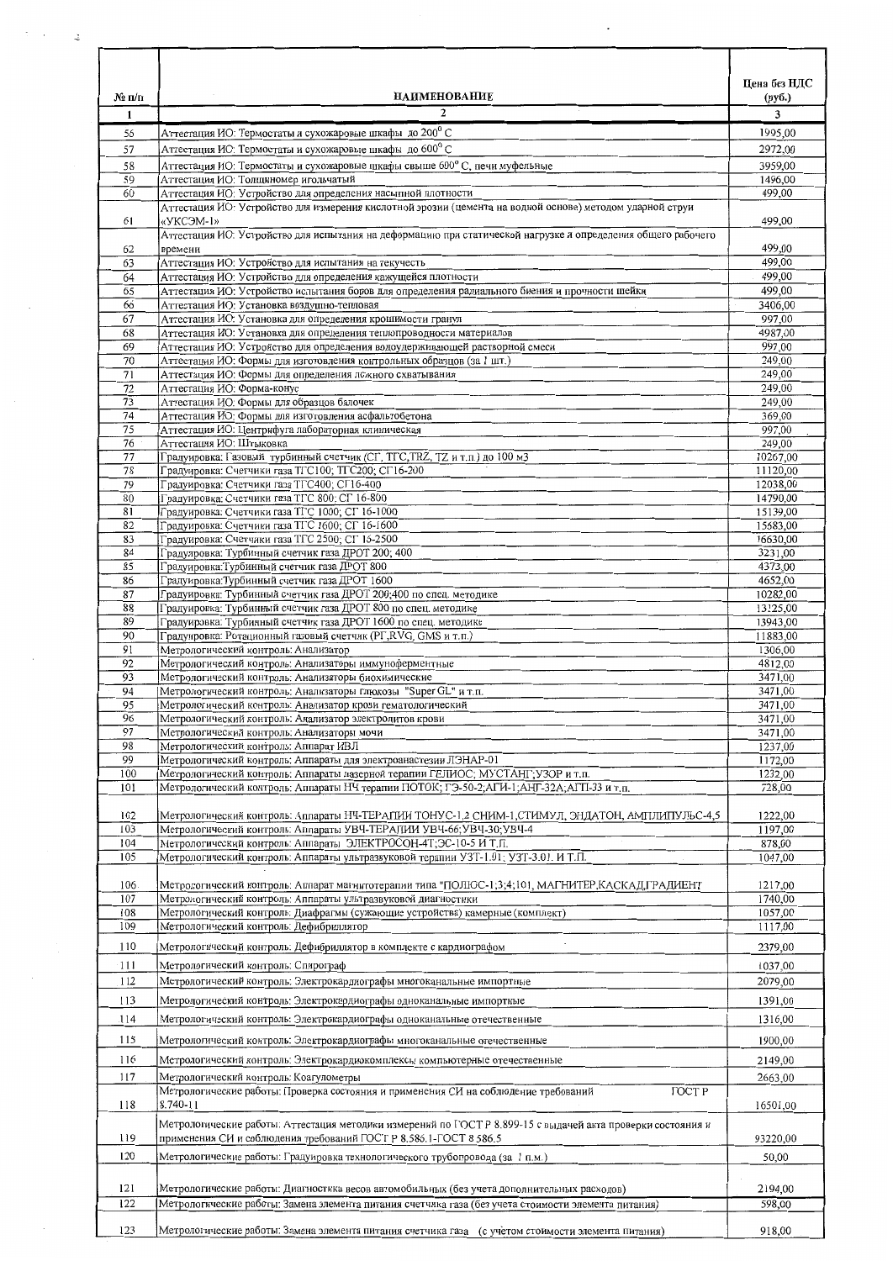| № п/п    | <b>НАИМЕНОВАНИЕ</b>                                                                                                               | Цена без НДС<br>(py6.) |
|----------|-----------------------------------------------------------------------------------------------------------------------------------|------------------------|
| 1        | $\mathbf{r}$                                                                                                                      | 3                      |
| 56       | Аттестация ИО: Термостаты и сухожаровые шкафы до 200 °С                                                                           | 1995,00                |
| 57       | Аттестация ИО: Термостаты и сухожаровые шкафы до 600°С                                                                            | 2972,00                |
| 58       | Аттестация ИО: Термостаты и сухожаровые шкафы свыше 600°С, печи муфельные                                                         | 3959,00                |
| 59       | Аттестация ИО: Толщиномер игольчатый                                                                                              | 1496,00                |
| 60       | Аттестация ИО: Устройство для определения насыпной плотности                                                                      | 499,00                 |
| 61       | Аттестация ИО: Устройство для измерения кислотной эрозии (цемента на водной основе) методом ударной струи<br>«УКСЭМ-1»            | 499,00                 |
|          | Аттестация ИО: Устройство для испытания на деформацию при статической нагрузке и определения общего рабочего                      | 499,00                 |
| 62<br>63 | времени<br>Аттестация ИО: Устройство для испытания на текучесть                                                                   | 499,00                 |
| 64       | Аттестация ИО: Устройство для определения кажущейся плотности                                                                     | 499,00                 |
| 65       | Аттестация ИО: Устройство испытания боров для определения радиального биения и прочности шейки                                    | 499,00                 |
| 66       | Аттестация ИО: Установка воздушно-тепловая                                                                                        | 3406,00                |
| 67       | Аттестация ИО: Установка для определения крошимости гранул                                                                        | 997,00                 |
| 68       | Аттестация ИО: Установка для определения теплопроводности материалов                                                              | 4987,00                |
| 69       | Аттестация ИО: Устройство для определения водоудерживающей растворной смеси                                                       | 997,00                 |
| 70       | Аттестация ИО: Формы для изготовления контрольных образцов (за 1 шт.)                                                             | 249,00                 |
| 71       | Аттестация ИО: Формы для определения ложного схватывания                                                                          | 249,00                 |
| 72       | Аттестация ИО: Форма-конус                                                                                                        | 249,00                 |
| 73       | Аттестация ИО: Формы для образцов балочек                                                                                         | 249,00                 |
| 74       | Аттестация ИО. Формы для изготовления асфальтобетона                                                                              | 369,00                 |
| 75       | Аттестация ИО: Центрифуга лабораторная клиническая                                                                                | 997,00                 |
| 76       | Аттестация ИО: Штыковка                                                                                                           | 249,00                 |
| 77<br>78 | Градуировка: Газовый турбинный счетчик (CГ, TГС, TRZ, TZ и т.п.) до 100 м3<br>Градуировка: Счетчики газа ТГС100; ТГС200; СГ16-200 | 10267,00<br>11120,00   |
| 79       | Градуировка: Счетчики газа ТГС400; СГ16-400                                                                                       | 12038,00               |
| 80       | Градуировка: Счетчики газа ТГС 800; СГ 16-800                                                                                     | 14790,00               |
| 81       | Градуировка: Счетчики газа ТГС 1000; СГ 16-1000                                                                                   | 15139,00               |
| 82       | Градуировка: Счетчики газа ТГС 1600; СГ 16-1600                                                                                   | 15683,00               |
| 83       | Градуировка: Счетчики газа ТГС 2500; СГ 16-2500                                                                                   | 16630,00               |
| 84       | Градуировка: Турбинный счетчик газа ДРОТ 200; 400                                                                                 | 3231,00                |
| 85       | Градуировка: Турбинный счетчик газа ДРОТ 800                                                                                      | 4373,00                |
| 86       | Градуировка: Турбинный счетчик газа ДРОТ 1600                                                                                     | 4652,00                |
| 87       | Градуировка: Турбинный счетчик газа ДРОТ 200;400 по спец. методике                                                                | 10282,00               |
| 88       | Градуировка: Турбинный счетчик газа ДРОТ 800 по спец. методике                                                                    | 13125,00               |
| 89       | Градуировка: Турбинный счетчик газа ДРОТ 1600 по спец. методике                                                                   | 13943,00               |
| 90       | Градуировка: Ротационный газовый счетчик (PT,RVG, GMS и т.п.)                                                                     | 11883,00               |
| 91       | Метрологический контроль: Анализатор                                                                                              | 1306,00<br>4812,00     |
| 92<br>93 | Метрологический контроль: Анализаторы иммуноферментные<br>Метрологический контроль: Анализаторы биохимические                     | 3471,00                |
| 94       | Метрологический контроль: Анализаторы глюкозы "Super GL" и т.п.                                                                   | 3471,00                |
| 95       | Метрологический контроль: Анализатор крови гематологический                                                                       | 3471,00                |
| 96       | Метрологический контроль: Анализатор электролитов крови                                                                           | 3471,00                |
| 97       | Метрологический контроль: Анализаторы мочи                                                                                        | 3471,00                |
| 98       | Метрологический контроль: Аппарат ИВЛ                                                                                             | 1237,00                |
| 99       | Метрологический контроль: Аппараты для электроанастезии ЛЭНАР-01                                                                  | 1172,00                |
| 100      | Метрологический контроль: Аппараты лазерной терапии ГЕЛИОС; МУСТАНГ; УЗОР и т.п.                                                  | 1232,00                |
| 101      | Метрологический контроль: Аппараты НЧ терапии ПОТОК; ГЭ-50-2; АГИ-1; АНГ-32А; АГП-33 и т.п.                                       | 728,00                 |
| 102      | Метрологический контроль: Аппараты НЧ-ТЕРАПИИ ТОНУС-1,2 СНИМ-1,СТИМУЛ, ЭНДАТОН, АМПЛИПУЛЬС-4,5                                    | 1222,00                |
| 103      | Метрологический контроль: Аппараты УВЧ-ТЕРАПИИ УВЧ-66; УВЧ-30; УВЧ-4                                                              | 1197,00                |
| 104      | Метрологический контроль: Аппараты ЭЛЕКТРОСОН-4Т;ЭС-10-5 И Т.П.                                                                   | 878,00                 |
| 105      | Метрологический контроль: Аппараты ультразвуковой терапии УЗТ-1.01; УЗТ-3.01. И Т.П.                                              | 1047,00                |
| 106      | Метрологический контроль: Аппарат магнитотерапии типа "ПОЛЮС-1;3;4;101, МАГНИТЕР,КАСКАД,ГРАДИЕНТ                                  | 1217,00                |
| 107      | Метрологический контроль: Аппараты ультразвуковой диагностики                                                                     | 1740,00                |
| 108      | Метрологический контроль: Диафрагмы (сужающие устройства) камерные (комплект)                                                     | 1057,00                |
| 109      | Метрологический контроль: Дефибриллятор                                                                                           | 1117,00                |
| 110      | Метрологический контроль: Дефибриллятор в комплекте с кардиографом                                                                | 2379,00                |
| $-111$   | Метрологический контроль: Спирограф                                                                                               | 1037,00                |
| 112      | Метрологический контроль: Электрокардиографы многоканальные импортные                                                             | 2079,00                |
| 113      | Метрологический контроль: Электрокардиографы одноканальные импортные                                                              | 1391,00                |
| .114     | Метрологический контроль: Электрокардиографы одноканальные отечественные                                                          | 1316,00                |
| 115      | Метрологический контроль: Электрокардиографы многоканальные отечественные                                                         | 1900,00                |
| 116      | Метрологический контроль: Электрокардиокомплексы компьютерные отечественные                                                       | 2149,00                |
| 117      | Метрологический контроль: Коагулометры                                                                                            | 2663,00                |
| 118      | Метрологические работы: Проверка состояния и применения СИ на соблюдение требований<br><b>TOCTP</b><br>8.740-11                   | 16501,00               |
|          | Метрологические работы: Аттестация методики измерений по ГОСТ Р 8.899-15 с выдачей акта проверки состояния и                      |                        |
| 119      | применения СИ и соблюдения требований ГОСТ Р 8.586.1-ГОСТ 8.586.5                                                                 | 93220,00               |
| 120      | Метрологические работы: Градуировка технологического трубопровода (за 1 п.м.)                                                     | 50,00                  |
| 121      | Метрологические работы: Диагностика весов автомобильных (без учета дополнительных расходов)                                       | 2194,00                |
| 122      | Метрологические работы: Замена элемента питания счетчика газа (без учета стоимости элемента питания)                              | 598,00                 |
| 123      | Метрологические работы: Замена элемента питания счетчика газа (с учетом стоимости элемента питания)                               | 918,00                 |

 $\mathbf{r}$ 

 $\ddot{\phantom{0}}$